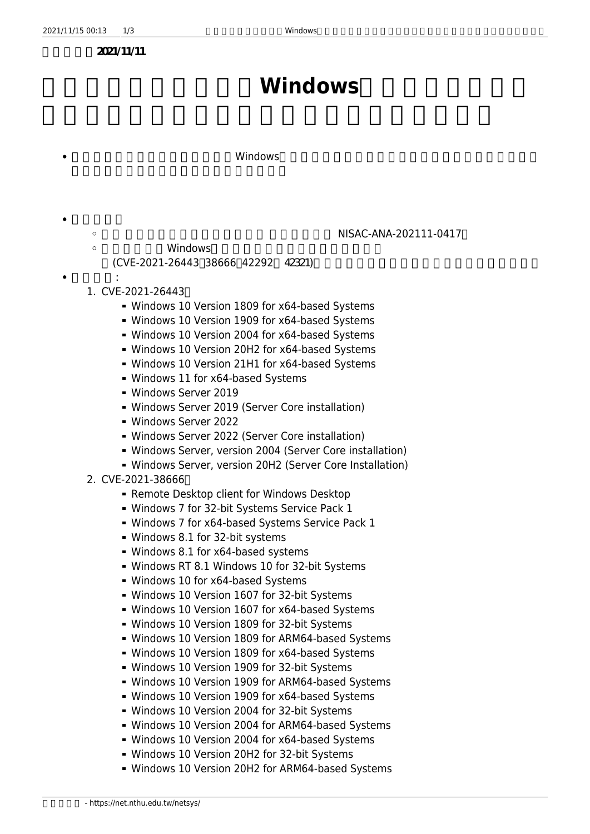**張貼日期:2021/11/11**

## **Windows**

## 主旨說明:【資安漏洞預警】微軟Windows作業系統與應用程式存在多個安全漏洞,允許攻擊者遠

NISAC-ANA-202111-0417 ∏

- Windows
- (CVE-2021-26443□38666□42292 42321)
- $1.$  CVE-2021-26443 $\Box$

影響平台:

 $\circ$  $\circ$ 

- Windows 10 Version 1809 for x64-based Systems
- Windows 10 Version 1909 for x64-based Systems
- Windows 10 Version 2004 for x64-based Systems
- Windows 10 Version 20H2 for x64-based Systems
- Windows 10 Version 21H1 for x64-based Systems
- Windows 11 for x64-based Systems
- Windows Server 2019
- Windows Server 2019 (Server Core installation)
- Windows Server 2022
- Windows Server 2022 (Server Core installation)
- Windows Server, version 2004 (Server Core installation)
- Windows Server, version 20H2 (Server Core Installation)
- 2. CVE-2021-386660
	- **Remote Desktop client for Windows Desktop**
	- Windows 7 for 32-bit Systems Service Pack 1
	- Windows 7 for x64-based Systems Service Pack 1
	- Windows 8.1 for 32-bit systems
	- Windows 8.1 for x64-based systems
	- Windows RT 8.1 Windows 10 for 32-bit Systems
	- Windows 10 for x64-based Systems
	- Windows 10 Version 1607 for 32-bit Systems
	- Windows 10 Version 1607 for x64-based Systems
	- Windows 10 Version 1809 for 32-bit Systems
	- Windows 10 Version 1809 for ARM64-based Systems
	- Windows 10 Version 1809 for x64-based Systems
	- Windows 10 Version 1909 for 32-bit Systems
	- Windows 10 Version 1909 for ARM64-based Systems
	- Windows 10 Version 1909 for x64-based Systems
	- Windows 10 Version 2004 for 32-bit Systems
	- Windows 10 Version 2004 for ARM64-based Systems
	- Windows 10 Version 2004 for x64-based Systems
	- Windows 10 Version 20H2 for 32-bit Systems
	- Windows 10 Version 20H2 for ARM64-based Systems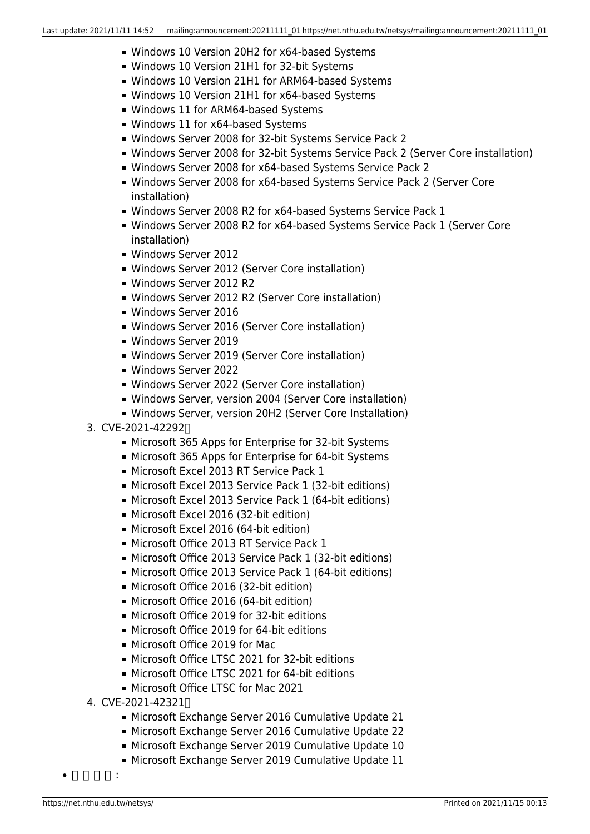- Windows 10 Version 20H2 for x64-based Systems
- Windows 10 Version 21H1 for 32-bit Systems
- Windows 10 Version 21H1 for ARM64-based Systems
- Windows 10 Version 21H1 for x64-based Systems
- Windows 11 for ARM64-based Systems
- Windows 11 for x64-based Systems
- Windows Server 2008 for 32-bit Systems Service Pack 2
- Windows Server 2008 for 32-bit Systems Service Pack 2 (Server Core installation)
- Windows Server 2008 for x64-based Systems Service Pack 2
- Windows Server 2008 for x64-based Systems Service Pack 2 (Server Core installation)
- Windows Server 2008 R2 for x64-based Systems Service Pack 1
- Windows Server 2008 R2 for x64-based Systems Service Pack 1 (Server Core installation)
- Windows Server 2012
- Windows Server 2012 (Server Core installation)
- Windows Server 2012 R2
- Windows Server 2012 R2 (Server Core installation)
- Windows Server 2016
- Windows Server 2016 (Server Core installation)
- Windows Server 2019
- Windows Server 2019 (Server Core installation)
- Windows Server 2022
- Windows Server 2022 (Server Core installation)
- Windows Server, version 2004 (Server Core installation)
- Windows Server, version 20H2 (Server Core Installation)
- 3. CVE-2021-422920
	- Microsoft 365 Apps for Enterprise for 32-bit Systems
	- Microsoft 365 Apps for Enterprise for 64-bit Systems
	- **Microsoft Excel 2013 RT Service Pack 1**
	- Microsoft Excel 2013 Service Pack 1 (32-bit editions)
	- Microsoft Excel 2013 Service Pack 1 (64-bit editions)
	- Microsoft Excel 2016 (32-bit edition)
	- Microsoft Excel 2016 (64-bit edition)
	- Microsoft Office 2013 RT Service Pack 1
	- Microsoft Office 2013 Service Pack 1 (32-bit editions)
	- Microsoft Office 2013 Service Pack 1 (64-bit editions)
	- Microsoft Office 2016 (32-bit edition)
	- Microsoft Office 2016 (64-bit edition)
	- Microsoft Office 2019 for 32-bit editions
	- Microsoft Office 2019 for 64-bit editions
	- Microsoft Office 2019 for Mac
	- Microsoft Office LTSC 2021 for 32-bit editions
	- Microsoft Office LTSC 2021 for 64-bit editions
	- Microsoft Office LTSC for Mac 2021
- 4. CVE-2021-423210
	- Microsoft Exchange Server 2016 Cumulative Update 21
	- Microsoft Exchange Server 2016 Cumulative Update 22
	- Microsoft Exchange Server 2019 Cumulative Update 10
	- **Microsoft Exchange Server 2019 Cumulative Update 11**

建議措施: